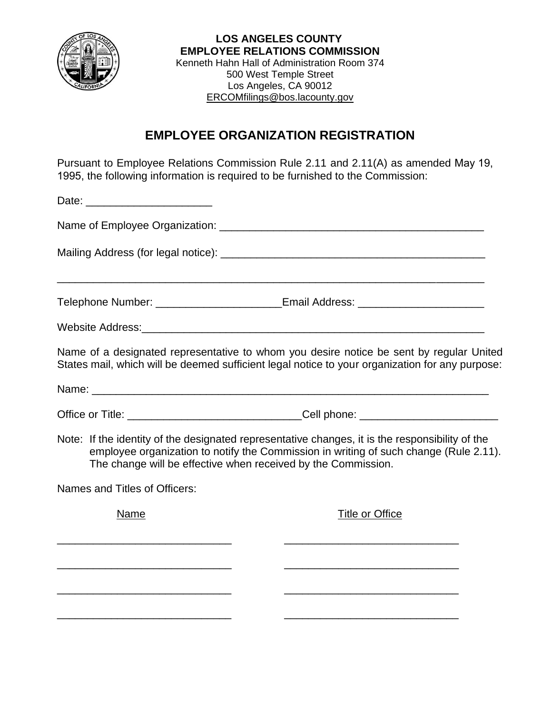

 **LOS ANGELES COUNTY EMPLOYEE RELATIONS COMMISSION** Kenneth Hahn Hall of Administration Room 374 500 West Temple Street Los Angeles, CA 90012 [ERCOMfilings@bos.lacounty.gov](mailto:ERCOMfilings@bos.lacounty.gov)

## **EMPLOYEE ORGANIZATION REGISTRATION**

Pursuant to Employee Relations Commission Rule 2.11 and 2.11(A) as amended May 19, 1995, the following information is required to be furnished to the Commission:

| Date: _________________________                                                           |                                                                                                                                                                                            |
|-------------------------------------------------------------------------------------------|--------------------------------------------------------------------------------------------------------------------------------------------------------------------------------------------|
|                                                                                           |                                                                                                                                                                                            |
|                                                                                           |                                                                                                                                                                                            |
|                                                                                           | Telephone Number: ___________________________Email Address: ____________________                                                                                                           |
|                                                                                           |                                                                                                                                                                                            |
|                                                                                           | Name of a designated representative to whom you desire notice be sent by regular United<br>States mail, which will be deemed sufficient legal notice to your organization for any purpose: |
|                                                                                           |                                                                                                                                                                                            |
|                                                                                           |                                                                                                                                                                                            |
| The change will be effective when received by the Commission.                             | Note: If the identity of the designated representative changes, it is the responsibility of the<br>employee organization to notify the Commission in writing of such change (Rule 2.11).   |
| Names and Titles of Officers:                                                             |                                                                                                                                                                                            |
| Name                                                                                      | <b>Title or Office</b>                                                                                                                                                                     |
| the control of the control of the control of the control of the control of the control of |                                                                                                                                                                                            |
|                                                                                           |                                                                                                                                                                                            |
|                                                                                           |                                                                                                                                                                                            |
|                                                                                           |                                                                                                                                                                                            |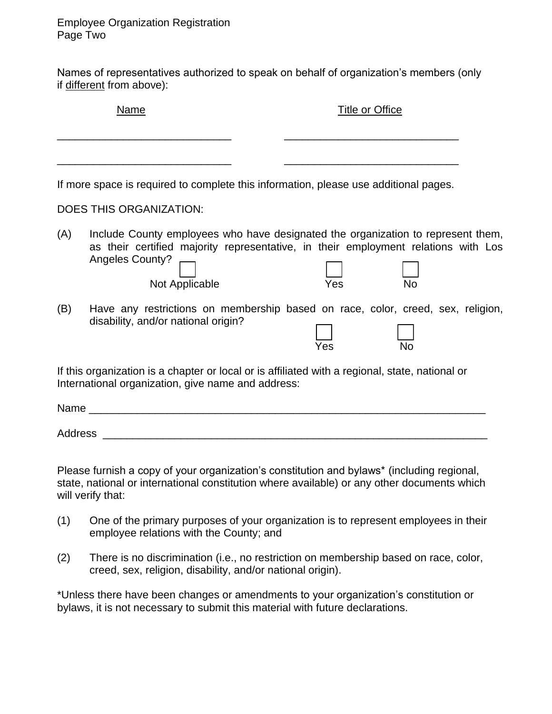Names of representatives authorized to speak on behalf of organization's members (only if different from above):

|     | <b>Name</b>                                                                                                            | <b>Title or Office</b>                                                                                                                                                                     |
|-----|------------------------------------------------------------------------------------------------------------------------|--------------------------------------------------------------------------------------------------------------------------------------------------------------------------------------------|
|     | If more space is required to complete this information, please use additional pages.<br><b>DOES THIS ORGANIZATION:</b> |                                                                                                                                                                                            |
| (A) | <b>Angeles County?</b><br>Not Applicable                                                                               | Include County employees who have designated the organization to represent them,<br>as their certified majority representative, in their employment relations with Los<br>Yes<br><b>No</b> |
| (B) | disability, and/or national origin?                                                                                    | Have any restrictions on membership based on race, color, creed, sex, religion,<br>Yes<br><b>No</b>                                                                                        |
|     | International organization, give name and address:                                                                     | If this organization is a chapter or local or is affiliated with a regional, state, national or                                                                                            |
|     |                                                                                                                        |                                                                                                                                                                                            |
|     |                                                                                                                        |                                                                                                                                                                                            |
|     | will verify that:                                                                                                      | Please furnish a copy of your organization's constitution and bylaws* (including regional,<br>state, national or international constitution where available) or any other documents which  |

- (1) One of the primary purposes of your organization is to represent employees in their employee relations with the County; and
- (2) There is no discrimination (i.e., no restriction on membership based on race, color, creed, sex, religion, disability, and/or national origin).

\*Unless there have been changes or amendments to your organization's constitution or bylaws, it is not necessary to submit this material with future declarations.